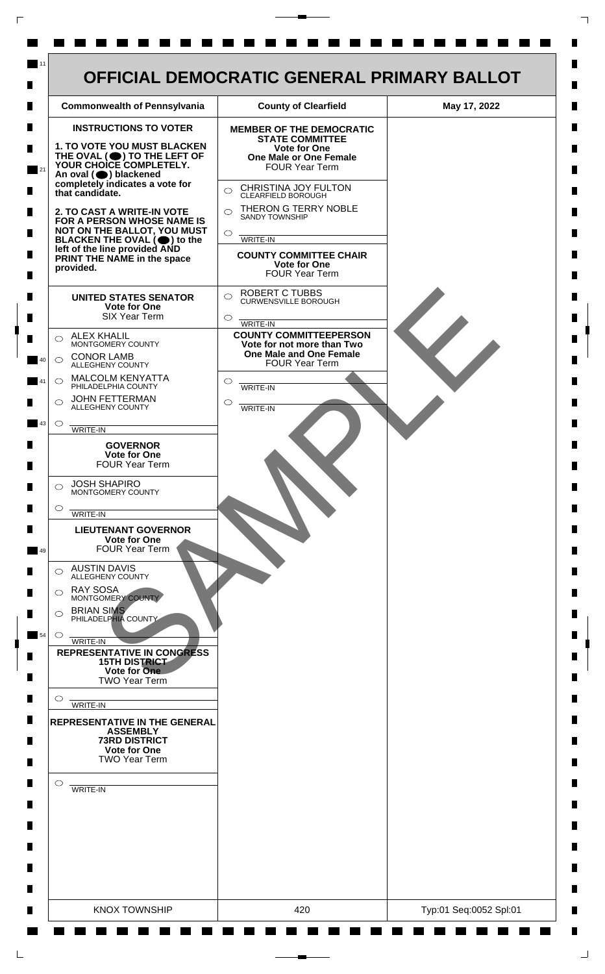

 $\mathsf{L}$ 

 $\Box$